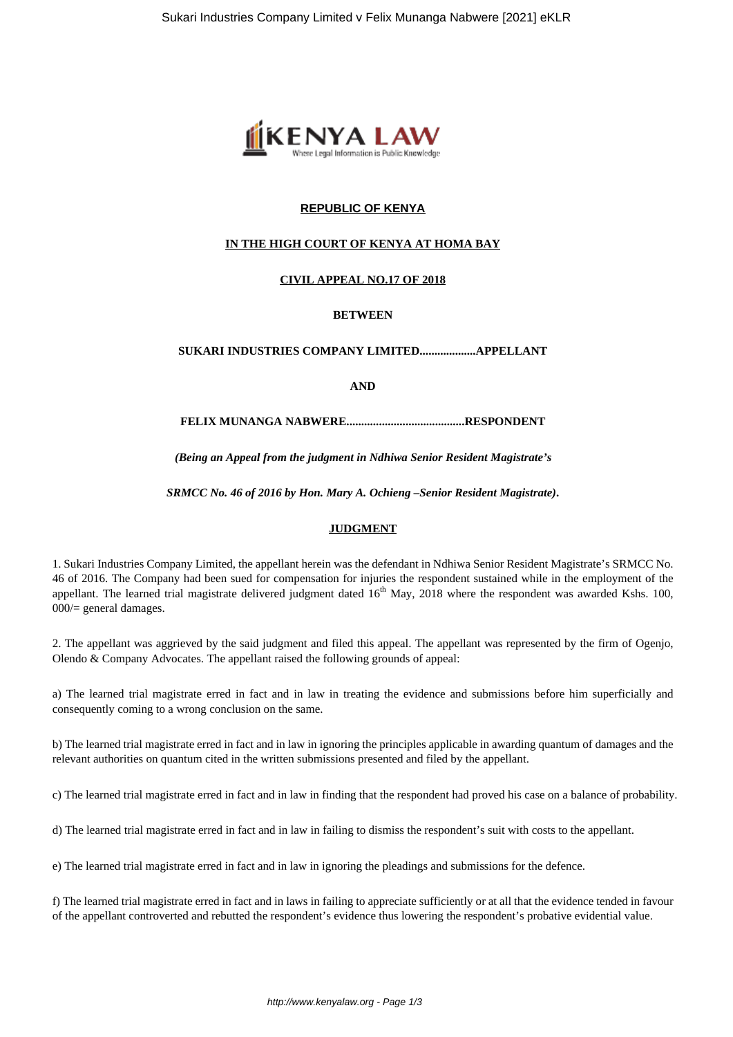

## **REPUBLIC OF KENYA**

## **IN THE HIGH COURT OF KENYA AT HOMA BAY**

## **CIVIL APPEAL NO.17 OF 2018**

## **BETWEEN**

## **SUKARI INDUSTRIES COMPANY LIMITED...................APPELLANT**

**AND**

#### **FELIX MUNANGA NABWERE........................................RESPONDENT**

*(Being an Appeal from the judgment in Ndhiwa Senior Resident Magistrate's*

*SRMCC No. 46 of 2016 by Hon. Mary A. Ochieng –Senior Resident Magistrate)***.**

#### **JUDGMENT**

1. Sukari Industries Company Limited, the appellant herein was the defendant in Ndhiwa Senior Resident Magistrate's SRMCC No. 46 of 2016. The Company had been sued for compensation for injuries the respondent sustained while in the employment of the appellant. The learned trial magistrate delivered judgment dated  $16<sup>th</sup>$  May,  $2018$  where the respondent was awarded Kshs. 100, 000/= general damages.

2. The appellant was aggrieved by the said judgment and filed this appeal. The appellant was represented by the firm of Ogenjo, Olendo & Company Advocates. The appellant raised the following grounds of appeal:

a) The learned trial magistrate erred in fact and in law in treating the evidence and submissions before him superficially and consequently coming to a wrong conclusion on the same.

b) The learned trial magistrate erred in fact and in law in ignoring the principles applicable in awarding quantum of damages and the relevant authorities on quantum cited in the written submissions presented and filed by the appellant.

c) The learned trial magistrate erred in fact and in law in finding that the respondent had proved his case on a balance of probability.

d) The learned trial magistrate erred in fact and in law in failing to dismiss the respondent's suit with costs to the appellant.

e) The learned trial magistrate erred in fact and in law in ignoring the pleadings and submissions for the defence.

f) The learned trial magistrate erred in fact and in laws in failing to appreciate sufficiently or at all that the evidence tended in favour of the appellant controverted and rebutted the respondent's evidence thus lowering the respondent's probative evidential value.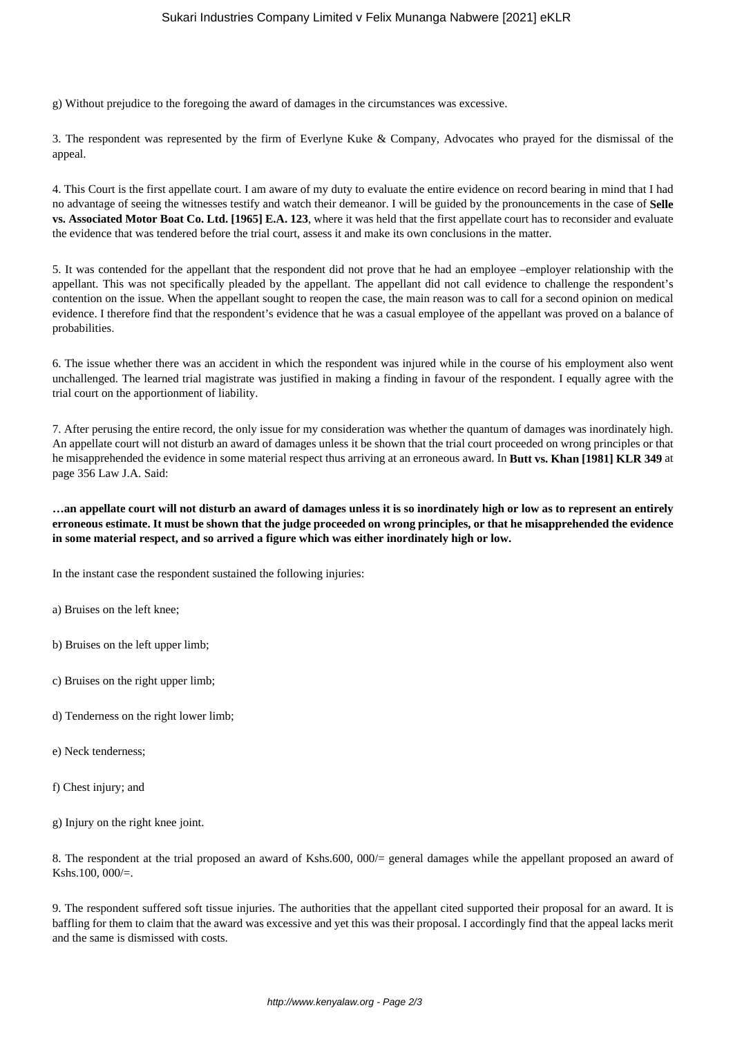g) Without prejudice to the foregoing the award of damages in the circumstances was excessive.

3. The respondent was represented by the firm of Everlyne Kuke & Company, Advocates who prayed for the dismissal of the appeal.

4. This Court is the first appellate court. I am aware of my duty to evaluate the entire evidence on record bearing in mind that I had no advantage of seeing the witnesses testify and watch their demeanor. I will be guided by the pronouncements in the case of **Selle vs. Associated Motor Boat Co. Ltd. [1965] E.A. 123**, where it was held that the first appellate court has to reconsider and evaluate the evidence that was tendered before the trial court, assess it and make its own conclusions in the matter.

5. It was contended for the appellant that the respondent did not prove that he had an employee –employer relationship with the appellant. This was not specifically pleaded by the appellant. The appellant did not call evidence to challenge the respondent's contention on the issue. When the appellant sought to reopen the case, the main reason was to call for a second opinion on medical evidence. I therefore find that the respondent's evidence that he was a casual employee of the appellant was proved on a balance of probabilities.

6. The issue whether there was an accident in which the respondent was injured while in the course of his employment also went unchallenged. The learned trial magistrate was justified in making a finding in favour of the respondent. I equally agree with the trial court on the apportionment of liability.

7. After perusing the entire record, the only issue for my consideration was whether the quantum of damages was inordinately high. An appellate court will not disturb an award of damages unless it be shown that the trial court proceeded on wrong principles or that he misapprehended the evidence in some material respect thus arriving at an erroneous award. In **Butt vs. Khan [1981] KLR 349** at page 356 Law J.A. Said:

**…an appellate court will not disturb an award of damages unless it is so inordinately high or low as to represent an entirely erroneous estimate. It must be shown that the judge proceeded on wrong principles, or that he misapprehended the evidence in some material respect, and so arrived a figure which was either inordinately high or low.**

In the instant case the respondent sustained the following injuries:

- a) Bruises on the left knee;
- b) Bruises on the left upper limb;
- c) Bruises on the right upper limb;
- d) Tenderness on the right lower limb;
- e) Neck tenderness;
- f) Chest injury; and

g) Injury on the right knee joint.

8. The respondent at the trial proposed an award of Kshs.600, 000/= general damages while the appellant proposed an award of Kshs.100, 000/=.

9. The respondent suffered soft tissue injuries. The authorities that the appellant cited supported their proposal for an award. It is baffling for them to claim that the award was excessive and yet this was their proposal. I accordingly find that the appeal lacks merit and the same is dismissed with costs.